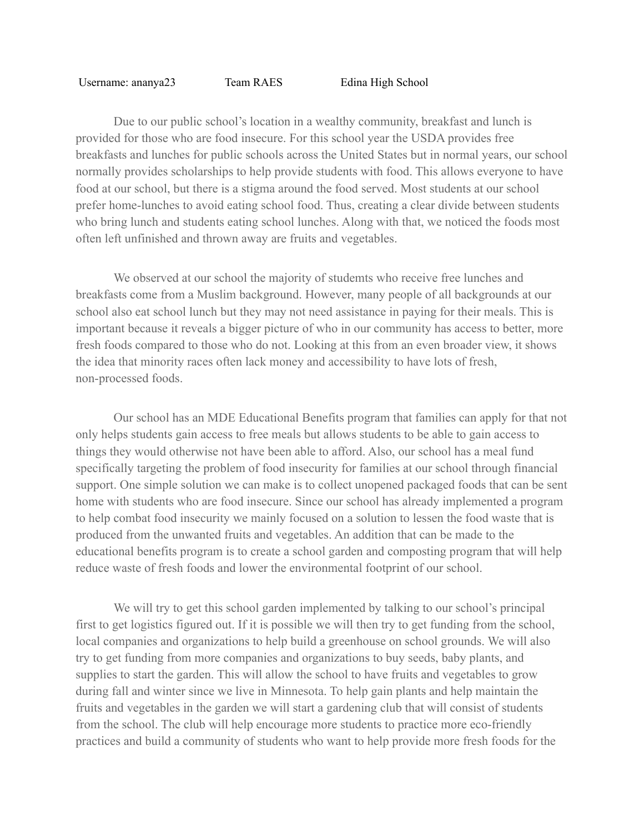## Username: ananya23 Team RAES Edina High School

Due to our public school's location in a wealthy community, breakfast and lunch is provided for those who are food insecure. For this school year the USDA provides free breakfasts and lunches for public schools across the United States but in normal years, our school normally provides scholarships to help provide students with food. This allows everyone to have food at our school, but there is a stigma around the food served. Most students at our school prefer home-lunches to avoid eating school food. Thus, creating a clear divide between students who bring lunch and students eating school lunches. Along with that, we noticed the foods most often left unfinished and thrown away are fruits and vegetables.

We observed at our school the majority of studemts who receive free lunches and breakfasts come from a Muslim background. However, many people of all backgrounds at our school also eat school lunch but they may not need assistance in paying for their meals. This is important because it reveals a bigger picture of who in our community has access to better, more fresh foods compared to those who do not. Looking at this from an even broader view, it shows the idea that minority races often lack money and accessibility to have lots of fresh, non-processed foods.

Our school has an MDE Educational Benefits program that families can apply for that not only helps students gain access to free meals but allows students to be able to gain access to things they would otherwise not have been able to afford. Also, our school has a meal fund specifically targeting the problem of food insecurity for families at our school through financial support. One simple solution we can make is to collect unopened packaged foods that can be sent home with students who are food insecure. Since our school has already implemented a program to help combat food insecurity we mainly focused on a solution to lessen the food waste that is produced from the unwanted fruits and vegetables. An addition that can be made to the educational benefits program is to create a school garden and composting program that will help reduce waste of fresh foods and lower the environmental footprint of our school.

We will try to get this school garden implemented by talking to our school's principal first to get logistics figured out. If it is possible we will then try to get funding from the school, local companies and organizations to help build a greenhouse on school grounds. We will also try to get funding from more companies and organizations to buy seeds, baby plants, and supplies to start the garden. This will allow the school to have fruits and vegetables to grow during fall and winter since we live in Minnesota. To help gain plants and help maintain the fruits and vegetables in the garden we will start a gardening club that will consist of students from the school. The club will help encourage more students to practice more eco-friendly practices and build a community of students who want to help provide more fresh foods for the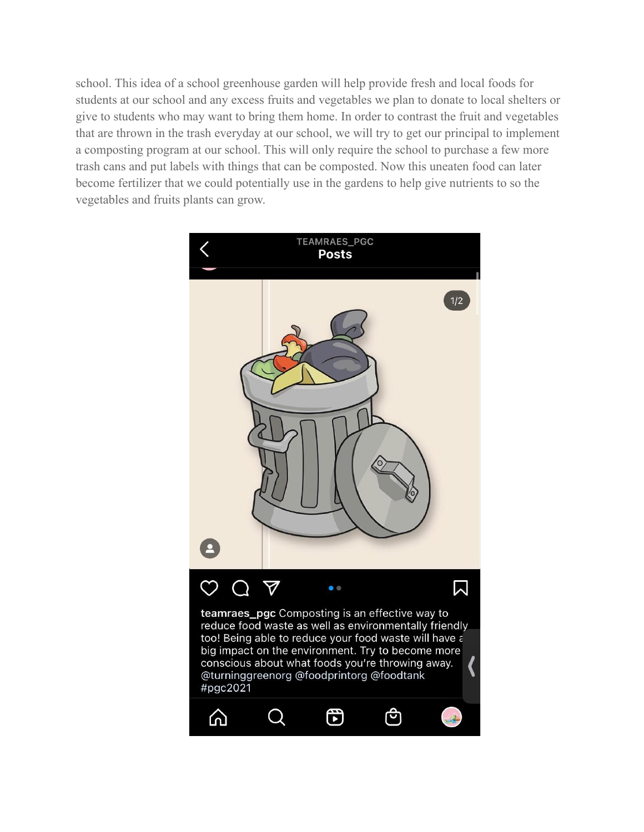school. This idea of a school greenhouse garden will help provide fresh and local foods for students at our school and any excess fruits and vegetables we plan to donate to local shelters or give to students who may want to bring them home. In order to contrast the fruit and vegetables that are thrown in the trash everyday at our school, we will try to get our principal to implement a composting program at our school. This will only require the school to purchase a few more trash cans and put labels with things that can be composted. Now this uneaten food can later become fertilizer that we could potentially use in the gardens to help give nutrients to so the vegetables and fruits plants can grow.